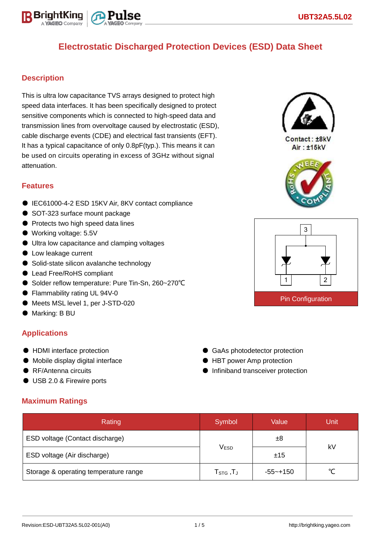

### **Description**

This is ultra low capacitance TVS arrays designed to protect high speed data interfaces. It has been specifically designed to protect sensitive components which is connected to high-speed data and transmission lines from overvoltage caused by electrostatic (ESD), cable discharge events (CDE) and electrical fast transients (EFT). It has a typical capacitance of only 0.8pF(typ.). This means it can be used on circuits operating in excess of 3GHz without signal attenuation.

### **Features**

- IEC61000-4-2 ESD 15KV Air, 8KV contact compliance
- SOT-323 surface mount package
- Protects two high speed data lines
- Working voltage: 5.5V
- Ultra low capacitance and clamping voltages
- Low leakage current
- Solid-state silicon avalanche technology
- Lead Free/RoHS compliant
- Solder reflow temperature: Pure Tin-Sn, 260~270°C
- Flammability rating UL 94V-0
- Meets MSL level 1, per J-STD-020
- Marking: B BU

### **Applications**

- HDMI interface protection
- Mobile display digital interface
- RF/Antenna circuits
- USB 2.0 & Firewire ports

### **Maximum Ratings**

| Rating                                | Symbol                          | Value        | Unit |  |
|---------------------------------------|---------------------------------|--------------|------|--|
| ESD voltage (Contact discharge)       |                                 | $\pm 8$      |      |  |
| ESD voltage (Air discharge)           | <b>VESD</b>                     | ±15          | kV   |  |
| Storage & operating temperature range | $\mathsf{T}_{\texttt{STG}}$ ,TJ | $-55 - +150$ |      |  |



 $Context: + RkV$ Air: ±15kV





● GaAs photodetector protection ● HBT power Amp protection ● Infiniband transceiver protection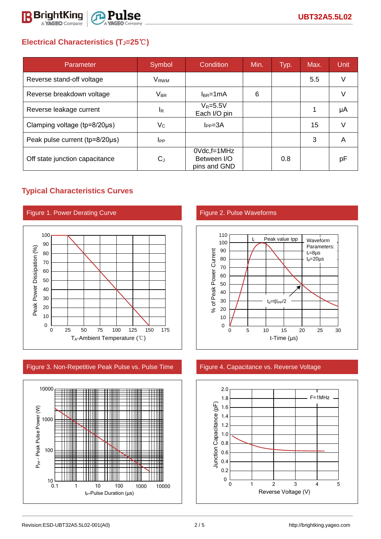

# **Electrical Characteristics (TJ=25**℃**)**

| Parameter                      | Symbol                 | Condition                                      | Min. | Typ. | Max. | <b>Unit</b> |
|--------------------------------|------------------------|------------------------------------------------|------|------|------|-------------|
| Reverse stand-off voltage      | V <sub>RWM</sub>       |                                                |      |      | 5.5  | V           |
| Reverse breakdown voltage      | <b>V<sub>BR</sub></b>  | $I_{BR}$ =1mA                                  | 6    |      |      | $\vee$      |
| Reverse leakage current        | <sup>I</sup> R         | $V_R = 5.5V$<br>Each I/O pin                   |      |      | 1    | μA          |
| Clamping voltage (tp=8/20µs)   | $V_C$                  | $I_{PP} = 3A$                                  |      |      | 15   | $\vee$      |
| Peak pulse current (tp=8/20µs) | <b>I</b> <sub>PP</sub> |                                                |      |      | 3    | A           |
| Off state junction capacitance | CJ                     | $0$ Vdc, f=1MHz<br>Between I/O<br>pins and GND |      | 0.8  |      | pF          |

## **Typical Characteristics Curves**



Figure 3. Non-Repetitive Peak Pulse vs. Pulse Time Figure 4. Capacitance vs. Reverse Voltage





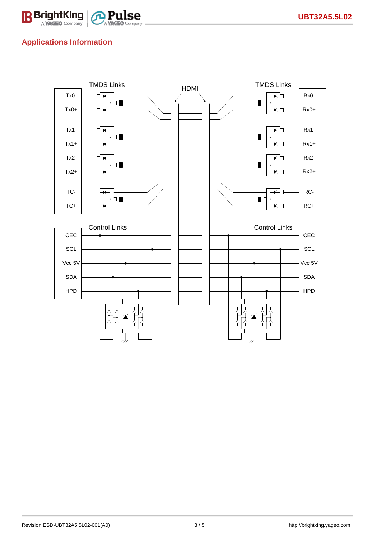

## **Applications Information**

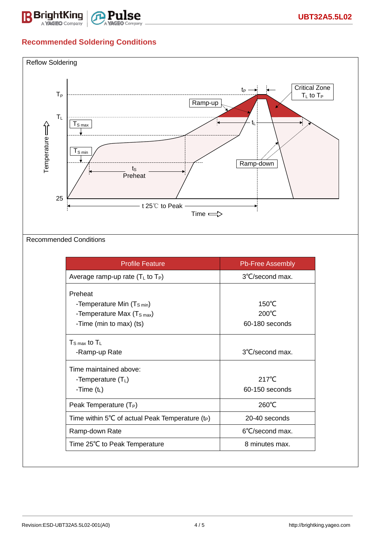

# **Recommended Soldering Conditions**